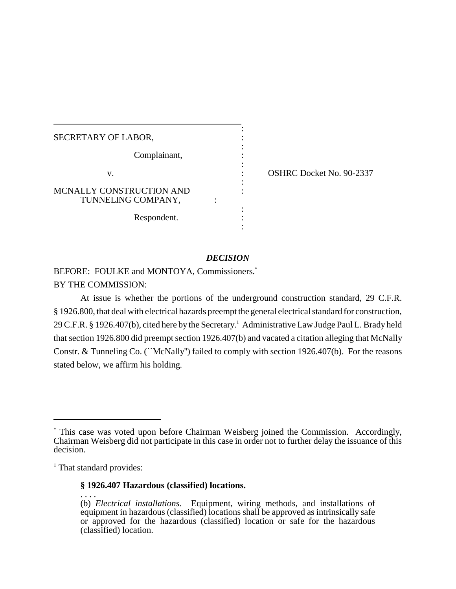| SECRETARY OF LABOR,                            |  |
|------------------------------------------------|--|
| Complainant,                                   |  |
| V.                                             |  |
| MCNALLY CONSTRUCTION AND<br>TUNNELING COMPANY, |  |
| Respondent.                                    |  |

: OSHRC Docket No. 90-2337

# *DECISION*

:

BEFORE: FOULKE and MONTOYA, Commissioners.\* BY THE COMMISSION:

At issue is whether the portions of the underground construction standard, 29 C.F.R. § 1926.800, that deal with electrical hazards preempt the general electrical standard for construction, 29 C.F.R. § 1926.407(b), cited here by the Secretary. <sup>1</sup> Administrative Law Judge Paul L. Brady held that section 1926.800 did preempt section 1926.407(b) and vacated a citation alleging that McNally Constr. & Tunneling Co. (``McNally'') failed to comply with section 1926.407(b). For the reasons stated below, we affirm his holding.

<sup>1</sup> That standard provides:

## **§ 1926.407 Hazardous (classified) locations.**

<sup>\*</sup> This case was voted upon before Chairman Weisberg joined the Commission. Accordingly, Chairman Weisberg did not participate in this case in order not to further delay the issuance of this decision.

<sup>. . . .</sup>  (b) *Electrical installations*. Equipment, wiring methods, and installations of equipment in hazardous (classified) locations shall be approved as intrinsically safe or approved for the hazardous (classified) location or safe for the hazardous (classified) location.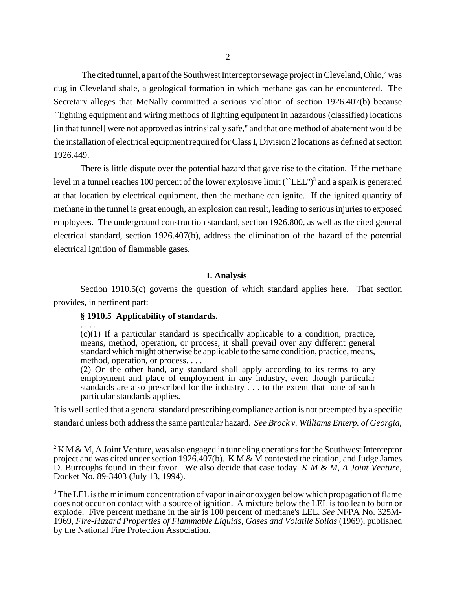The cited tunnel, a part of the Southwest Interceptor sewage project in Cleveland, Ohio, $2$  was dug in Cleveland shale, a geological formation in which methane gas can be encountered. The Secretary alleges that McNally committed a serious violation of section 1926.407(b) because ``lighting equipment and wiring methods of lighting equipment in hazardous (classified) locations [in that tunnel] were not approved as intrinsically safe,'' and that one method of abatement would be the installation of electrical equipment required for Class I, Division 2 locations as defined at section 1926.449.

There is little dispute over the potential hazard that gave rise to the citation. If the methane level in a tunnel reaches 100 percent of the lower explosive limit ("LEL")<sup>3</sup> and a spark is generated at that location by electrical equipment, then the methane can ignite. If the ignited quantity of methane in the tunnel is great enough, an explosion can result, leading to serious injuries to exposed employees. The underground construction standard, section 1926.800, as well as the cited general electrical standard, section 1926.407(b), address the elimination of the hazard of the potential electrical ignition of flammable gases.

### **I. Analysis**

Section 1910.5(c) governs the question of which standard applies here. That section provides, in pertinent part:

## **§ 1910.5 Applicability of standards.**

. . . .

(c)(1) If a particular standard is specifically applicable to a condition, practice, means, method, operation, or process, it shall prevail over any different general standard which might otherwise be applicable to the same condition, practice, means, method, operation, or process. . . .

(2) On the other hand, any standard shall apply according to its terms to any employment and place of employment in any industry, even though particular standards are also prescribed for the industry . . . to the extent that none of such particular standards applies.

It is well settled that a general standard prescribing compliance action is not preempted by a specific standard unless both address the same particular hazard. *See Brock v. Williams Enterp. of Georgia,*

<sup>&</sup>lt;sup>2</sup> K M & M, A Joint Venture, was also engaged in tunneling operations for the Southwest Interceptor project and was cited under section 1926.407(b). K M & M contested the citation, and Judge James D. Burroughs found in their favor. We also decide that case today. *K M & M, A Joint Venture*, Docket No. 89-3403 (July 13, 1994).

<sup>&</sup>lt;sup>3</sup> The LEL is the minimum concentration of vapor in air or oxygen below which propagation of flame does not occur on contact with a source of ignition. A mixture below the LEL is too lean to burn or explode. Five percent methane in the air is 100 percent of methane's LEL. *See* NFPA No. 325M-1969, *Fire-Hazard Properties of Flammable Liquids, Gases and Volatile Solids* (1969), published by the National Fire Protection Association.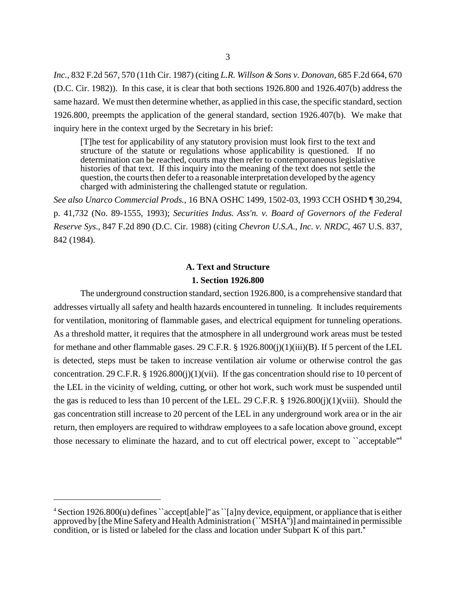*Inc.*, 832 F.2d 567, 570 (11th Cir. 1987) (citing *L.R. Willson & Sons v. Donovan*, 685 F.2d 664, 670 (D.C. Cir. 1982)). In this case, it is clear that both sections 1926.800 and 1926.407(b) address the same hazard. We must then determine whether, as applied in this case, the specific standard, section 1926.800, preempts the application of the general standard, section 1926.407(b). We make that inquiry here in the context urged by the Secretary in his brief:

[T]he test for applicability of any statutory provision must look first to the text and structure of the statute or regulations whose applicability is questioned. If no determination can be reached, courts may then refer to contemporaneous legislative histories of that text. If this inquiry into the meaning of the text does not settle the question, the courts then defer to a reasonable interpretation developed by the agency charged with administering the challenged statute or regulation.

*See also Unarco Commercial Prods.*, 16 BNA OSHC 1499, 1502-03, 1993 CCH OSHD ¶ 30,294, p. 41,732 (No. 89-1555, 1993); *Securities Indus. Ass'n. v. Board of Governors of the Federal Reserve Sys.*, 847 F.2d 890 (D.C. Cir. 1988) (citing *Chevron U.S.A., Inc. v. NRDC*, 467 U.S. 837, 842 (1984).

# **A. Text and Structure**

# **1. Section 1926.800**

The underground construction standard, section 1926.800, is a comprehensive standard that addresses virtually all safety and health hazards encountered in tunneling. It includes requirements for ventilation, monitoring of flammable gases, and electrical equipment for tunneling operations. As a threshold matter, it requires that the atmosphere in all underground work areas must be tested for methane and other flammable gases. 29 C.F.R. § 1926.800(j)(1)(iii)(B). If 5 percent of the LEL is detected, steps must be taken to increase ventilation air volume or otherwise control the gas concentration. 29 C.F.R. § 1926.800(j)(1)(vii). If the gas concentration should rise to 10 percent of the LEL in the vicinity of welding, cutting, or other hot work, such work must be suspended until the gas is reduced to less than 10 percent of the LEL. 29 C.F.R. § 1926.800(j)(1)(viii). Should the gas concentration still increase to 20 percent of the LEL in any underground work area or in the air return, then employers are required to withdraw employees to a safe location above ground, except those necessary to eliminate the hazard, and to cut off electrical power, except to "acceptable"<sup>4</sup>

 $4$  Section 1926.800(u) defines ``accept[able]" as ``[a]ny device, equipment, or appliance that is either approved by [the Mine Safetyand Health Administration (``MSHA'')] and maintained in permissible condition, or is listed or labeled for the class and location under Subpart K of this part.''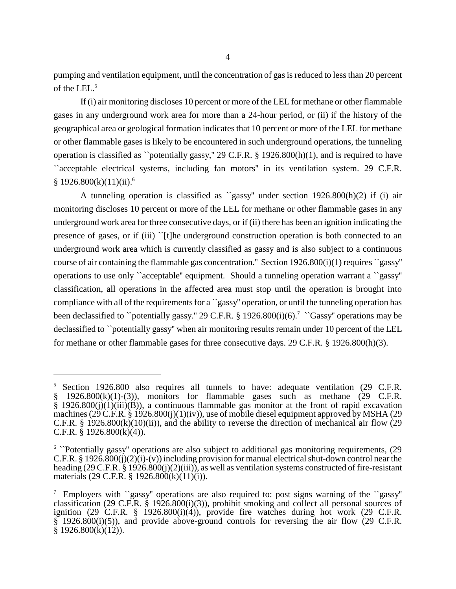pumping and ventilation equipment, until the concentration of gas is reduced to less than 20 percent of the LEL. 5

If (i) air monitoring discloses 10 percent or more of the LEL for methane or other flammable gases in any underground work area for more than a 24-hour period, or (ii) if the history of the geographical area or geological formation indicates that 10 percent or more of the LEL for methane or other flammable gases is likely to be encountered in such underground operations, the tunneling operation is classified as ``potentially gassy,'' 29 C.F.R. § 1926.800(h)(1), and is required to have ``acceptable electrical systems, including fan motors'' in its ventilation system. 29 C.F.R.  $§ 1926.800(k)(11)(ii).<sup>6</sup>$ 

A tunneling operation is classified as ``gassy'' under section 1926.800(h)(2) if (i) air monitoring discloses 10 percent or more of the LEL for methane or other flammable gases in any underground work area for three consecutive days, or if (ii) there has been an ignition indicating the presence of gases, or if (iii) ``[t]he underground construction operation is both connected to an underground work area which is currently classified as gassy and is also subject to a continuous course of air containing the flammable gas concentration.'' Section 1926.800(i)(1) requires ``gassy'' operations to use only ``acceptable'' equipment. Should a tunneling operation warrant a ``gassy'' classification, all operations in the affected area must stop until the operation is brought into compliance with all of the requirements for a ``gassy'' operation, or until the tunneling operation has been declassified to ``potentially gassy." 29 C.F.R.  $\S 1926.800(i)(6)$ .<sup>7</sup> ``Gassy'' operations may be declassified to ``potentially gassy'' when air monitoring results remain under 10 percent of the LEL for methane or other flammable gases for three consecutive days. 29 C.F.R. § 1926.800(h)(3).

<sup>5</sup> Section 1926.800 also requires all tunnels to have: adequate ventilation (29 C.F.R. § 1926.800(k)(1)-(3)), monitors for flammable gases such as methane (29 C.F.R. § 1926.800(j)(1)(iii)(B)), a continuous flammable gas monitor at the front of rapid excavation machines (29 C.F.R. § 1926.800(j)(1)(iv)), use of mobile diesel equipment approved by MSHA (29 C.F.R. § 1926.800 $(k)(10)(ii)$ , and the ability to reverse the direction of mechanical air flow (29 C.F.R.  $\S$  1926.800(k)(4)).

<sup>&</sup>lt;sup>6</sup> "Potentially gassy" operations are also subject to additional gas monitoring requirements, (29 C.F.R. § 1926.800(j)(2)(i)-(v)) including provision for manual electrical shut-down control near the heading (29 C.F.R. § 1926.800(j)(2)(iii)), as well as ventilation systems constructed of fire-resistant materials (29 C.F.R. § 1926.800(k)(11)(i)).

<sup>&</sup>lt;sup>7</sup> Employers with ``gassy'' operations are also required to: post signs warning of the ``gassy'' classification (29 C.F.R. § 1926.800(i)(3)), prohibit smoking and collect all personal sources of ignition (29 C.F.R.  $\S$  1926.800(i)(4)), provide fire watches during hot work (29 C.F.R.  $\frac{8}{1926.800(i)(5)}$ , and provide above-ground controls for reversing the air flow (29 C.F.R. § 1926.800(k)(12)).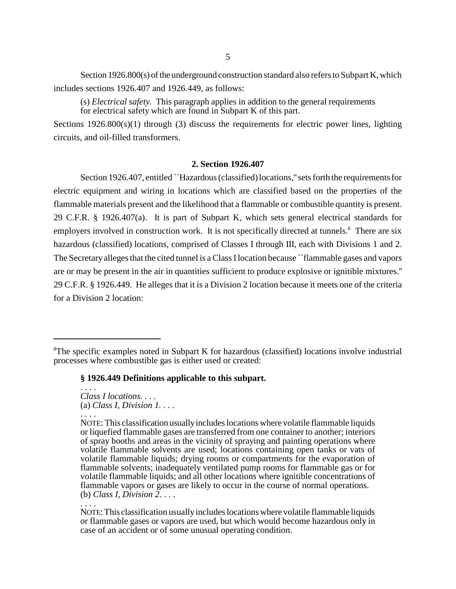Section  $1926.800(s)$  of the underground construction standard also refers to Subpart K, which includes sections 1926.407 and 1926.449, as follows:

(s) *Electrical safety.* This paragraph applies in addition to the general requirements for electrical safety which are found in Subpart K of this part.

Sections  $1926.800(s)(1)$  through (3) discuss the requirements for electric power lines, lighting circuits, and oil-filled transformers.

# **2. Section 1926.407**

Section 1926.407, entitled ``Hazardous (classified) locations,''sets forth the requirements for electric equipment and wiring in locations which are classified based on the properties of the flammable materials present and the likelihood that a flammable or combustible quantity is present. 29 C.F.R. § 1926.407(a). It is part of Subpart K, which sets general electrical standards for employers involved in construction work. It is not specifically directed at tunnels.<sup>8</sup> There are six hazardous (classified) locations, comprised of Classes I through III, each with Divisions 1 and 2. The Secretaryallegesthat the cited tunnel is a Class Ilocation because ``flammable gases and vapors are or may be present in the air in quantities sufficient to produce explosive or ignitible mixtures.'' 29 C.F.R. § 1926.449. He alleges that it is a Division 2 location because it meets one of the criteria for a Division 2 location:

#### **§ 1926.449 Definitions applicable to this subpart.**

. . . . *Class I locations. . . .* (a) *Class I, Division 1. . . .* . . . .

<sup>8</sup>The specific examples noted in Subpart K for hazardous (classified) locations involve industrial processes where combustible gas is either used or created:

NOTE: This classification usually includes locations where volatile flammable liquids or liquefied flammable gases are transferred from one container to another; interiors of spray booths and areas in the vicinity of spraying and painting operations where volatile flammable solvents are used; locations containing open tanks or vats of volatile flammable liquids; drying rooms or compartments for the evaporation of flammable solvents; inadequately ventilated pump rooms for flammable gas or for volatile flammable liquids; and all other locations where ignitible concentrations of flammable vapors or gases are likely to occur in the course of normal operations. (b) *Class I, Division 2*. . . .

<sup>. . . .</sup>

NOTE:This classification usuallyincludes locations where volatile flammable liquids or flammable gases or vapors are used, but which would become hazardous only in case of an accident or of some unusual operating condition.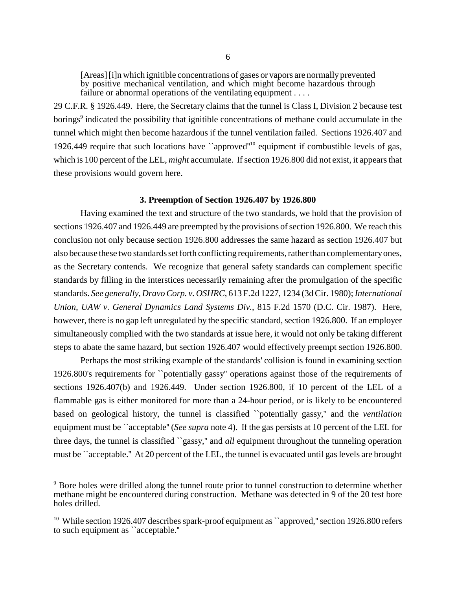[Areas][i]n which ignitible concentrations of gases or vapors are normally prevented by positive mechanical ventilation, and which might become hazardous through failure or abnormal operations of the ventilating equipment ....

29 C.F.R. § 1926.449. Here, the Secretary claims that the tunnel is Class I, Division 2 because test borings<sup>9</sup> indicated the possibility that ignitible concentrations of methane could accumulate in the tunnel which might then become hazardous if the tunnel ventilation failed. Sections 1926.407 and 1926.449 require that such locations have "approved"<sup>10</sup> equipment if combustible levels of gas, which is 100 percent of the LEL, *might* accumulate. If section 1926.800 did not exist, it appears that these provisions would govern here.

#### **3. Preemption of Section 1926.407 by 1926.800**

Having examined the text and structure of the two standards, we hold that the provision of sections 1926.407 and 1926.449 are preempted by the provisions of section 1926.800. We reach this conclusion not only because section 1926.800 addresses the same hazard as section 1926.407 but also because these two standards set forth conflicting requirements, rather than complementaryones, as the Secretary contends. We recognize that general safety standards can complement specific standards by filling in the interstices necessarily remaining after the promulgation of the specific standards. *See generally, Dravo Corp. v. OSHRC*, 613 F.2d 1227, 1234 (3d Cir. 1980); *International Union, UAW v. General Dynamics Land Systems Div.*, 815 F.2d 1570 (D.C. Cir. 1987). Here, however, there is no gap left unregulated by the specific standard, section 1926.800. If an employer simultaneously complied with the two standards at issue here, it would not only be taking different steps to abate the same hazard, but section 1926.407 would effectively preempt section 1926.800.

Perhaps the most striking example of the standards' collision is found in examining section 1926.800's requirements for ``potentially gassy'' operations against those of the requirements of sections 1926.407(b) and 1926.449. Under section 1926.800, if 10 percent of the LEL of a flammable gas is either monitored for more than a 24-hour period, or is likely to be encountered based on geological history, the tunnel is classified ``potentially gassy,'' and the *ventilation* equipment must be ``acceptable'' (*See supra* note 4). If the gas persists at 10 percent of the LEL for three days, the tunnel is classified ``gassy,'' and *all* equipment throughout the tunneling operation must be ``acceptable.'' At 20 percent of the LEL, the tunnel is evacuated until gas levels are brought

<sup>&</sup>lt;sup>9</sup> Bore holes were drilled along the tunnel route prior to tunnel construction to determine whether methane might be encountered during construction. Methane was detected in 9 of the 20 test bore holes drilled.

<sup>&</sup>lt;sup>10</sup> While section 1926.407 describes spark-proof equipment as ``approved," section 1926.800 refers to such equipment as ``acceptable.''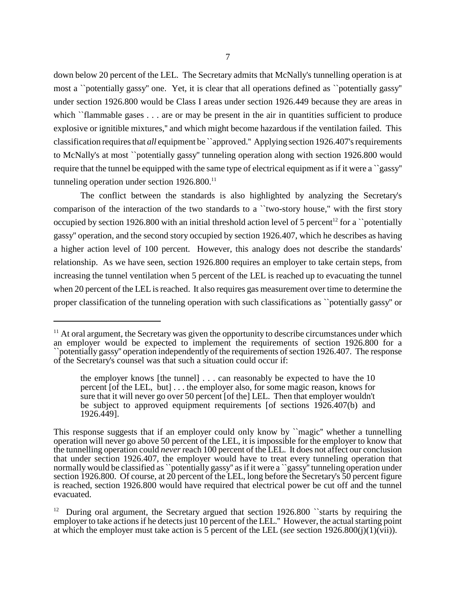down below 20 percent of the LEL. The Secretary admits that McNally's tunnelling operation is at most a ``potentially gassy'' one. Yet, it is clear that all operations defined as ``potentially gassy'' under section 1926.800 would be Class I areas under section 1926.449 because they are areas in which ``flammable gases . . . are or may be present in the air in quantities sufficient to produce explosive or ignitible mixtures,'' and which might become hazardous if the ventilation failed. This classification requires that *all* equipment be `approved.'' Applying section 1926.407's requirements to McNally's at most ``potentially gassy'' tunneling operation along with section 1926.800 would require that the tunnel be equipped with the same type of electrical equipment as if it were a ``gassy'' tunneling operation under section  $1926.800$ .<sup>11</sup>

The conflict between the standards is also highlighted by analyzing the Secretary's comparison of the interaction of the two standards to a ``two-story house,'' with the first story occupied by section 1926.800 with an initial threshold action level of 5 percent<sup>12</sup> for a "potentially gassy'' operation, and the second story occupied by section 1926.407, which he describes as having a higher action level of 100 percent. However, this analogy does not describe the standards' relationship. As we have seen, section 1926.800 requires an employer to take certain steps, from increasing the tunnel ventilation when 5 percent of the LEL is reached up to evacuating the tunnel when 20 percent of the LEL is reached. It also requires gas measurement over time to determine the proper classification of the tunneling operation with such classifications as ``potentially gassy'' or

 $11$  At oral argument, the Secretary was given the opportunity to describe circumstances under which an employer would be expected to implement the requirements of section 1926.800 for a ``potentially gassy'' operation independently of the requirements of section 1926.407. The response of the Secretary's counsel was that such a situation could occur if:

the employer knows [the tunnel]  $\ldots$  can reasonably be expected to have the 10 percent [of the LEL, but] . . . the employer also, for some magic reason, knows for sure that it will never go over 50 percent [of the] LEL. Then that employer wouldn't be subject to approved equipment requirements [of sections 1926.407(b) and 1926.449].

This response suggests that if an employer could only know by "magic" whether a tunnelling operation will never go above 50 percent of the LEL, it is impossible for the employer to know that the tunnelling operation could *never*reach 100 percent of the LEL. It does not affect our conclusion that under section 1926.407, the employer would have to treat every tunneling operation that normally would be classified as ``potentially gassy'' as if it were a ``gassy'' tunneling operation under section 1926.800. Of course, at 20 percent of the LEL, long before the Secretary's 50 percent figure is reached, section 1926.800 would have required that electrical power be cut off and the tunnel evacuated.

<sup>&</sup>lt;sup>12</sup> During oral argument, the Secretary argued that section  $1926.800$  starts by requiring the employer to take actionsif he detects just 10 percent of the LEL.'' However, the actual starting point at which the employer must take action is 5 percent of the LEL (*see* section 1926.800(j)(1)(vii)).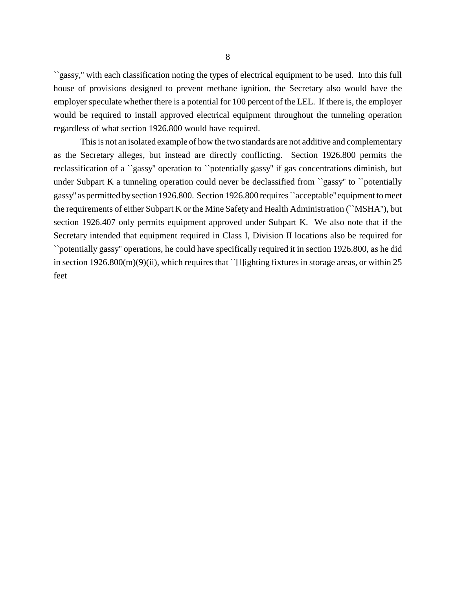``gassy,'' with each classification noting the types of electrical equipment to be used. Into this full house of provisions designed to prevent methane ignition, the Secretary also would have the employer speculate whether there is a potential for 100 percent of the LEL. If there is, the employer would be required to install approved electrical equipment throughout the tunneling operation regardless of what section 1926.800 would have required.

This is not an isolated example of how the two standards are not additive and complementary as the Secretary alleges, but instead are directly conflicting. Section 1926.800 permits the reclassification of a ``gassy'' operation to ``potentially gassy'' if gas concentrations diminish, but under Subpart K a tunneling operation could never be declassified from "gassy" to "potentially gassy'' as permitted bysection 1926.800. Section 1926.800 requires ``acceptable'' equipment tomeet the requirements of either Subpart K or the Mine Safety and Health Administration (``MSHA''), but section 1926.407 only permits equipment approved under Subpart K. We also note that if the Secretary intended that equipment required in Class I, Division II locations also be required for ``potentially gassy'' operations, he could have specifically required it in section 1926.800, as he did in section 1926.800(m)(9)(ii), which requires that ``[l]ighting fixtures in storage areas, or within 25 feet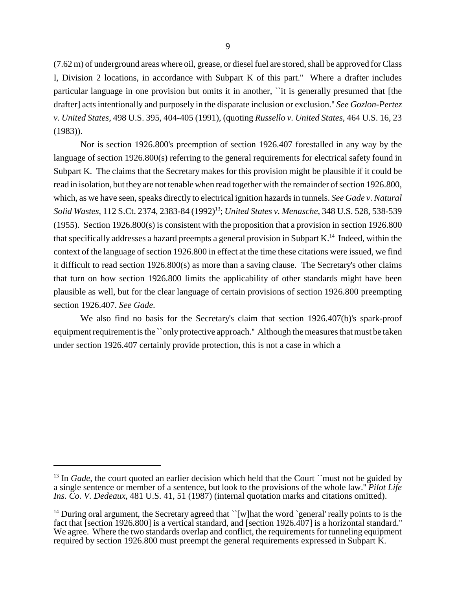(7.62 m) of underground areas where oil, grease, or dieselfuel are stored, shall be approved for Class I, Division 2 locations, in accordance with Subpart K of this part.'' Where a drafter includes particular language in one provision but omits it in another, ``it is generally presumed that [the drafter] acts intentionally and purposely in the disparate inclusion or exclusion.'' *See Gozlon-Pertez v. United States*, 498 U.S. 395, 404-405 (1991), (quoting *Russello v. United States*, 464 U.S. 16, 23 (1983)).

Nor is section 1926.800's preemption of section 1926.407 forestalled in any way by the language of section 1926.800(s) referring to the general requirements for electrical safety found in Subpart K. The claims that the Secretary makes for this provision might be plausible if it could be read in isolation, but they are not tenable when read together with the remainder of section 1926.800, which, as we have seen, speaks directly to electrical ignition hazards in tunnels. *See Gade v. Natural Solid Wastes*, 112 S.Ct. 2374, 2383-84 (1992)<sup>13</sup> ; *United States v. Menasche*, 348 U.S. 528, 538-539 (1955). Section 1926.800(s) is consistent with the proposition that a provision in section 1926.800 that specifically addresses a hazard preempts a general provision in Subpart K.<sup>14</sup> Indeed, within the context of the language of section 1926.800 in effect at the time these citations were issued, we find it difficult to read section 1926.800(s) as more than a saving clause. The Secretary's other claims that turn on how section 1926.800 limits the applicability of other standards might have been plausible as well, but for the clear language of certain provisions of section 1926.800 preempting section 1926.407. *See Gade*.

We also find no basis for the Secretary's claim that section 1926.407(b)'s spark-proof equipment requirement is the ``only protective approach." Although the measures that must be taken under section 1926.407 certainly provide protection, this is not a case in which a

<sup>&</sup>lt;sup>13</sup> In *Gade*, the court quoted an earlier decision which held that the Court ``must not be guided by a single sentence or member of a sentence, but look to the provisions of the whole law.'' *Pilot Life Ins. Co. V. Dedeaux*, 481 U.S. 41, 51 (1987) (internal quotation marks and citations omitted).

<sup>&</sup>lt;sup>14</sup> During oral argument, the Secretary agreed that ``[w]hat the word `general' really points to is the fact that [section 1926.800] is a vertical standard, and [section 1926.407] is a horizontal standard.'' We agree. Where the two standards overlap and conflict, the requirements for tunneling equipment required by section 1926.800 must preempt the general requirements expressed in Subpart K.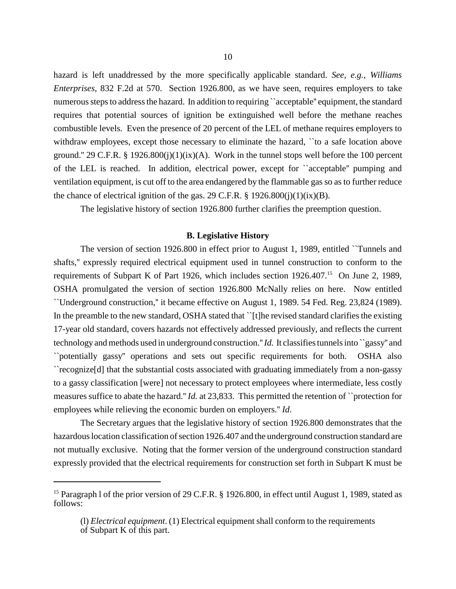hazard is left unaddressed by the more specifically applicable standard. *See, e.g., Williams Enterprises*, 832 F.2d at 570. Section 1926.800, as we have seen, requires employers to take numerous steps to address the hazard. In addition to requiring "acceptable" equipment, the standard requires that potential sources of ignition be extinguished well before the methane reaches combustible levels. Even the presence of 20 percent of the LEL of methane requires employers to withdraw employees, except those necessary to eliminate the hazard, "to a safe location above ground." 29 C.F.R. § 1926.800(j)(1)(ix)(A). Work in the tunnel stops well before the 100 percent of the LEL is reached. In addition, electrical power, except for ``acceptable'' pumping and ventilation equipment, is cut off to the area endangered by the flammable gas so as to further reduce the chance of electrical ignition of the gas. 29 C.F.R.  $\S$  1926.800(j)(1)(ix)(B).

The legislative history of section 1926.800 further clarifies the preemption question.

#### **B. Legislative History**

The version of section 1926.800 in effect prior to August 1, 1989, entitled ``Tunnels and shafts,'' expressly required electrical equipment used in tunnel construction to conform to the requirements of Subpart K of Part 1926, which includes section 1926.407.<sup>15</sup> On June 2, 1989, OSHA promulgated the version of section 1926.800 McNally relies on here. Now entitled ``Underground construction,'' it became effective on August 1, 1989. 54 Fed. Reg. 23,824 (1989). In the preamble to the new standard, OSHA stated that ``[t]he revised standard clarifies the existing 17-year old standard, covers hazards not effectively addressed previously, and reflects the current technology and methods used in underground construction.''*Id.* It classifies tunnels into ``gassy'' and ``potentially gassy'' operations and sets out specific requirements for both. OSHA also ``recognize[d] that the substantial costs associated with graduating immediately from a non-gassy to a gassy classification [were] not necessary to protect employees where intermediate, less costly measures suffice to abate the hazard.'' *Id.* at 23,833. This permitted the retention of ``protection for employees while relieving the economic burden on employers.'' *Id*.

The Secretary argues that the legislative history of section 1926.800 demonstrates that the hazardous location classification of section 1926.407 and the underground construction standard are not mutually exclusive. Noting that the former version of the underground construction standard expressly provided that the electrical requirements for construction set forth in Subpart K must be

<sup>&</sup>lt;sup>15</sup> Paragraph 1 of the prior version of 29 C.F.R. § 1926.800, in effect until August 1, 1989, stated as follows:

<sup>(</sup>l) *Electrical equipment*. (1) Electrical equipment shall conform to the requirements of Subpart K of this part.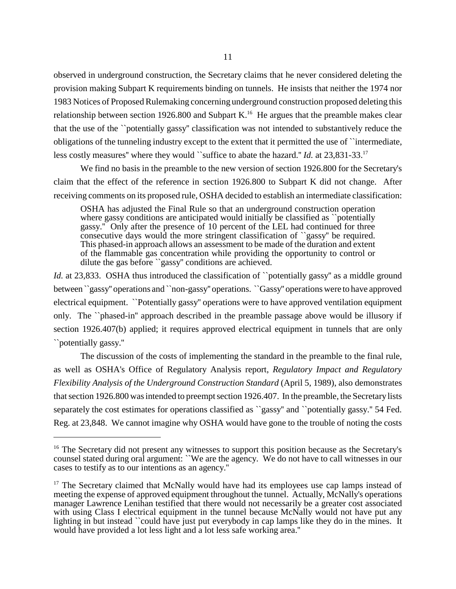observed in underground construction, the Secretary claims that he never considered deleting the provision making Subpart K requirements binding on tunnels. He insists that neither the 1974 nor 1983 Notices of Proposed Rulemaking concerning underground construction proposed deleting this relationship between section 1926.800 and Subpart K.<sup>16</sup> He argues that the preamble makes clear that the use of the ``potentially gassy'' classification was not intended to substantively reduce the obligations of the tunneling industry except to the extent that it permitted the use of ``intermediate, less costly measures" where they would "suffice to abate the hazard." *Id.* at 23,831-33.<sup>17</sup>

We find no basis in the preamble to the new version of section 1926.800 for the Secretary's claim that the effect of the reference in section 1926.800 to Subpart K did not change. After receiving comments on its proposed rule, OSHA decided to establish an intermediate classification:

OSHA has adjusted the Final Rule so that an underground construction operation where gassy conditions are anticipated would initially be classified as "potentially gassy.'' Only after the presence of 10 percent of the LEL had continued for three consecutive days would the more stringent classification of ``gassy'' be required. This phased-in approach allows an assessment to be made of the duration and extent of the flammable gas concentration while providing the opportunity to control or dilute the gas before "gassy" conditions are achieved.

*Id.* at 23,833. OSHA thus introduced the classification of "potentially gassy" as a middle ground between ``gassy'' operations and ``non-gassy'' operations. ``Gassy'' operations were to have approved electrical equipment. ``Potentially gassy'' operations were to have approved ventilation equipment only. The ``phased-in'' approach described in the preamble passage above would be illusory if section 1926.407(b) applied; it requires approved electrical equipment in tunnels that are only ``potentially gassy.''

The discussion of the costs of implementing the standard in the preamble to the final rule, as well as OSHA's Office of Regulatory Analysis report, *Regulatory Impact and Regulatory Flexibility Analysis of the Underground Construction Standard* (April 5, 1989), also demonstrates that section 1926.800 was intended to preempt section 1926.407. In the preamble, the Secretary lists separately the cost estimates for operations classified as "gassy" and "potentially gassy." 54 Fed. Reg. at 23,848. We cannot imagine why OSHA would have gone to the trouble of noting the costs

<sup>&</sup>lt;sup>16</sup> The Secretary did not present any witnesses to support this position because as the Secretary's counsel stated during oral argument: ``We are the agency. We do not have to call witnesses in our cases to testify as to our intentions as an agency.''

<sup>&</sup>lt;sup>17</sup> The Secretary claimed that McNally would have had its employees use cap lamps instead of meeting the expense of approved equipment throughout the tunnel. Actually, McNally's operations manager Lawrence Lenihan testified that there would not necessarily be a greater cost associated with using Class I electrical equipment in the tunnel because McNally would not have put any lighting in but instead ``could have just put everybody in cap lamps like they do in the mines. It would have provided a lot less light and a lot less safe working area.''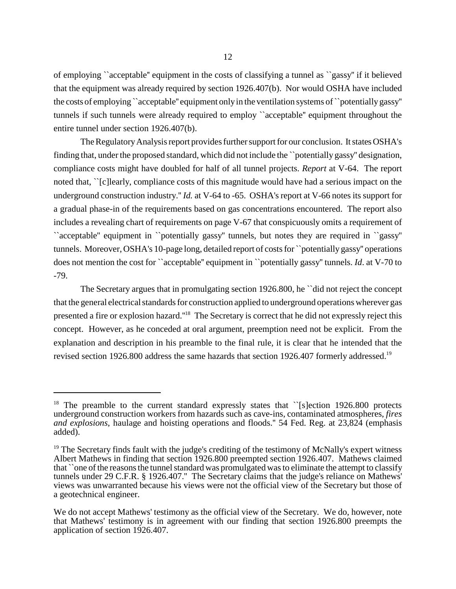of employing ``acceptable'' equipment in the costs of classifying a tunnel as ``gassy'' if it believed that the equipment was already required by section 1926.407(b). Nor would OSHA have included the costs of employing ``acceptable'' equipment onlyin the ventilation systems of ``potentiallygassy'' tunnels if such tunnels were already required to employ ``acceptable'' equipment throughout the entire tunnel under section 1926.407(b).

The Regulatory Analysis report provides further support for our conclusion. It states OSHA's finding that, under the proposed standard, which did not include the ``potentially gassy'' designation, compliance costs might have doubled for half of all tunnel projects. *Report* at V-64. The report noted that, ``[c]learly, compliance costs of this magnitude would have had a serious impact on the underground construction industry.'' *Id.* at V-64 to -65. OSHA's report at V-66 notes its support for a gradual phase-in of the requirements based on gas concentrations encountered. The report also includes a revealing chart of requirements on page V-67 that conspicuously omits a requirement of ``acceptable'' equipment in ``potentially gassy'' tunnels, but notes they are required in ``gassy'' tunnels. Moreover, OSHA's 10-page long, detailed report of costs for ``potentially gassy'' operations does not mention the cost for ``acceptable'' equipment in ``potentially gassy'' tunnels. *Id*. at V-70 to -79.

The Secretary argues that in promulgating section 1926.800, he ``did not reject the concept that the general electrical standards for construction applied to underground operations wherever gas presented a fire or explosion hazard."<sup>18</sup> The Secretary is correct that he did not expressly reject this concept. However, as he conceded at oral argument, preemption need not be explicit. From the explanation and description in his preamble to the final rule, it is clear that he intended that the revised section 1926.800 address the same hazards that section 1926.407 formerly addressed.<sup>19</sup>

<sup>&</sup>lt;sup>18</sup> The preamble to the current standard expressly states that  $\degree$ [s]ection 1926.800 protects underground construction workers from hazards such as cave-ins, contaminated atmospheres, *fires and explosions*, haulage and hoisting operations and floods.'' 54 Fed. Reg. at 23,824 (emphasis added).

 $19$  The Secretary finds fault with the judge's crediting of the testimony of McNally's expert witness Albert Mathews in finding that section 1926.800 preempted section 1926.407. Mathews claimed that ``one of the reasons the tunnel standard was promulgated was to eliminate the attempt to classify tunnels under 29 C.F.R. § 1926.407.'' The Secretary claims that the judge's reliance on Mathews' views was unwarranted because his views were not the official view of the Secretary but those of a geotechnical engineer.

We do not accept Mathews' testimony as the official view of the Secretary. We do, however, note that Mathews' testimony is in agreement with our finding that section 1926.800 preempts the application of section 1926.407.